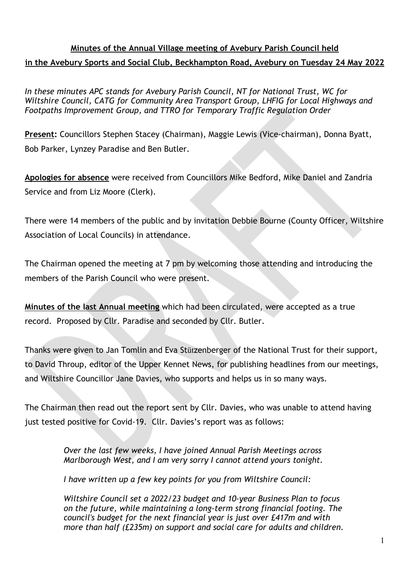# **Minutes of the Annual Village meeting of Avebury Parish Council held in the Avebury Sports and Social Club, Beckhampton Road, Avebury on Tuesday 24 May 2022**

*In these minutes APC stands for Avebury Parish Council, NT for National Trust, WC for Wiltshire Council, CATG for Community Area Transport Group, LHFIG for Local Highways and Footpaths Improvement Group, and TTRO for Temporary Traffic Regulation Order*

**Present:** Councillors Stephen Stacey (Chairman), Maggie Lewis (Vice-chairman), Donna Byatt, Bob Parker, Lynzey Paradise and Ben Butler.

**Apologies for absence** were received from Councillors Mike Bedford, Mike Daniel and Zandria Service and from Liz Moore (Clerk).

There were 14 members of the public and by invitation Debbie Bourne (County Officer, Wiltshire Association of Local Councils) in attendance.

The Chairman opened the meeting at 7 pm by welcoming those attending and introducing the members of the Parish Council who were present.

**Minutes of the last Annual meeting** which had been circulated, were accepted as a true record. Proposed by Cllr. Paradise and seconded by Cllr. Butler.

Thanks were given to Jan Tomlin and Eva Stützenberger of the National Trust for their support, to David Throup, editor of the Upper Kennet News, for publishing headlines from our meetings, and Wiltshire Councillor Jane Davies, who supports and helps us in so many ways.

The Chairman then read out the report sent by Cllr. Davies, who was unable to attend having just tested positive for Covid-19. Cllr. Davies's report was as follows:

> *Over the last few weeks, I have joined Annual Parish Meetings across Marlborough West, and I am very sorry I cannot attend yours tonight.*

*I have written up a few key points for you from Wiltshire Council:*

*Wiltshire Council set a 2022/23 budget and 10-year Business Plan to focus on the future, while maintaining a long-term strong financial footing. The council's budget for the next financial year is just over £417m and with more than half (£235m) on support and social care for adults and children.*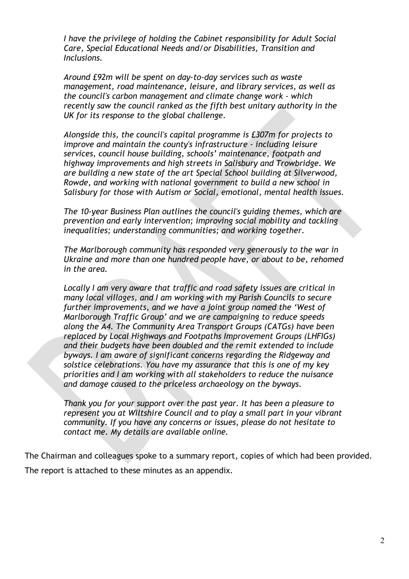*I have the privilege of holding the Cabinet responsibility for Adult Social Care, Special Educational Needs and/or Disabilities, Transition and Inclusions.* 

*Around £92m will be spent on day-to-day services such as waste management, road maintenance, leisure, and library services, as well as the council's carbon management and climate change work - which recently saw the council ranked as the fifth best unitary authority in the UK for its response to the global challenge.* 

*Alongside this, the council's capital programme is £307m for projects to improve and maintain the county's infrastructure - including leisure services, council house building, schools' maintenance, footpath and highway improvements and high streets in Salisbury and Trowbridge. We are building a new state of the art Special School building at Silverwood, Rowde, and working with national government to build a new school in Salisbury for those with Autism or Social, emotional, mental health issues.*

*The 10-year Business Plan outlines the council's guiding themes, which are prevention and early intervention; improving social mobility and tackling inequalities; understanding communities; and working together.* 

*The Marlborough community has responded very generously to the war in Ukraine and more than one hundred people have, or about to be, rehomed in the area.* 

*Locally I am very aware that traffic and road safety issues are critical in many local villages, and I am working with my Parish Councils to secure further improvements, and we have a joint group named the 'West of Marlborough Traffic Group' and we are campaigning to reduce speeds along the A4. The Community Area Transport Groups (CATGs) have been replaced by Local Highways and Footpaths Improvement Groups (LHFIGs) and their budgets have been doubled and the remit extended to include byways. I am aware of significant concerns regarding the Ridgeway and solstice celebrations. You have my assurance that this is one of my key priorities and I am working with all stakeholders to reduce the nuisance and damage caused to the priceless archaeology on the byways.* 

*Thank you for your support over the past year. It has been a pleasure to represent you at Wiltshire Council and to play a small part in your vibrant community. If you have any concerns or issues, please do not hesitate to contact me. My details are available online.* 

The Chairman and colleagues spoke to a summary report, copies of which had been provided. The report is attached to these minutes as an appendix.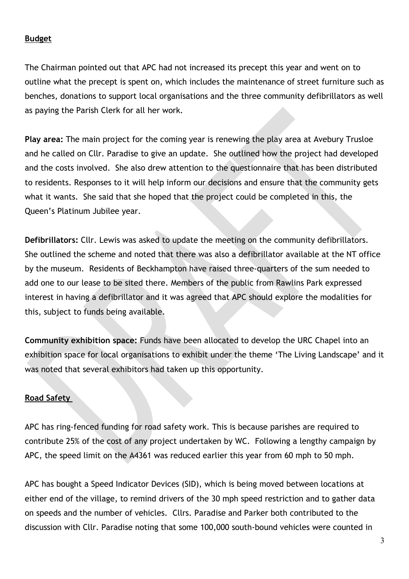### **Budget**

The Chairman pointed out that APC had not increased its precept this year and went on to outline what the precept is spent on, which includes the maintenance of street furniture such as benches, donations to support local organisations and the three community defibrillators as well as paying the Parish Clerk for all her work.

**Play area:** The main project for the coming year is renewing the play area at Avebury Trusloe and he called on Cllr. Paradise to give an update. She outlined how the project had developed and the costs involved. She also drew attention to the questionnaire that has been distributed to residents. Responses to it will help inform our decisions and ensure that the community gets what it wants. She said that she hoped that the project could be completed in this, the Queen's Platinum Jubilee year.

**Defibrillators:** Cllr. Lewis was asked to update the meeting on the community defibrillators. She outlined the scheme and noted that there was also a defibrillator available at the NT office by the museum. Residents of Beckhampton have raised three-quarters of the sum needed to add one to our lease to be sited there. Members of the public from Rawlins Park expressed interest in having a defibrillator and it was agreed that APC should explore the modalities for this, subject to funds being available.

**Community exhibition space:** Funds have been allocated to develop the URC Chapel into an exhibition space for local organisations to exhibit under the theme 'The Living Landscape' and it was noted that several exhibitors had taken up this opportunity.

### **Road Safety**

APC has ring-fenced funding for road safety work. This is because parishes are required to contribute 25% of the cost of any project undertaken by WC. Following a lengthy campaign by APC, the speed limit on the A4361 was reduced earlier this year from 60 mph to 50 mph.

APC has bought a Speed Indicator Devices (SID), which is being moved between locations at either end of the village, to remind drivers of the 30 mph speed restriction and to gather data on speeds and the number of vehicles. Cllrs. Paradise and Parker both contributed to the discussion with Cllr. Paradise noting that some 100,000 south-bound vehicles were counted in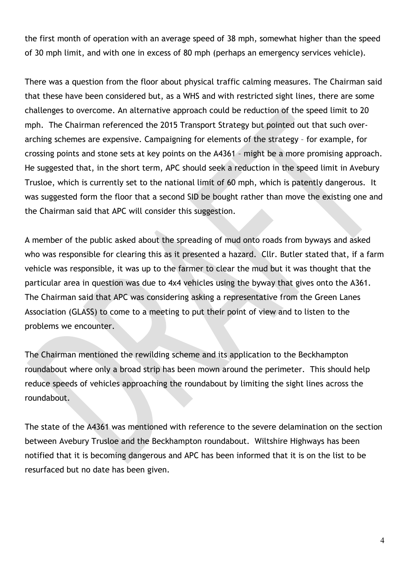the first month of operation with an average speed of 38 mph, somewhat higher than the speed of 30 mph limit, and with one in excess of 80 mph (perhaps an emergency services vehicle).

There was a question from the floor about physical traffic calming measures. The Chairman said that these have been considered but, as a WHS and with restricted sight lines, there are some challenges to overcome. An alternative approach could be reduction of the speed limit to 20 mph. The Chairman referenced the 2015 Transport Strategy but pointed out that such overarching schemes are expensive. Campaigning for elements of the strategy – for example, for crossing points and stone sets at key points on the A4361 – might be a more promising approach. He suggested that, in the short term, APC should seek a reduction in the speed limit in Avebury Trusloe, which is currently set to the national limit of 60 mph, which is patently dangerous. It was suggested form the floor that a second SID be bought rather than move the existing one and the Chairman said that APC will consider this suggestion.

A member of the public asked about the spreading of mud onto roads from byways and asked who was responsible for clearing this as it presented a hazard. Cllr. Butler stated that, if a farm vehicle was responsible, it was up to the farmer to clear the mud but it was thought that the particular area in question was due to 4x4 vehicles using the byway that gives onto the A361. The Chairman said that APC was considering asking a representative from the Green Lanes Association (GLASS) to come to a meeting to put their point of view and to listen to the problems we encounter.

The Chairman mentioned the rewilding scheme and its application to the Beckhampton roundabout where only a broad strip has been mown around the perimeter. This should help reduce speeds of vehicles approaching the roundabout by limiting the sight lines across the roundabout.

The state of the A4361 was mentioned with reference to the severe delamination on the section between Avebury Trusloe and the Beckhampton roundabout. Wiltshire Highways has been notified that it is becoming dangerous and APC has been informed that it is on the list to be resurfaced but no date has been given.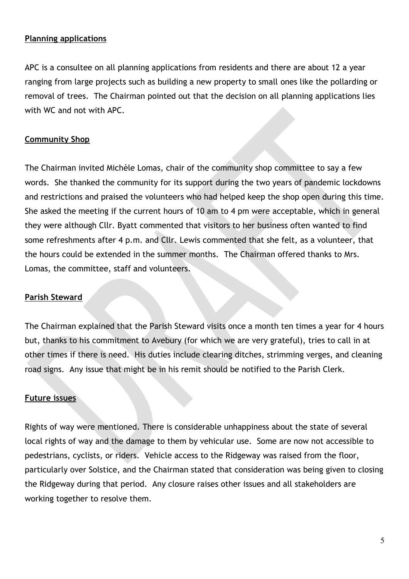### **Planning applications**

APC is a consultee on all planning applications from residents and there are about 12 a year ranging from large projects such as building a new property to small ones like the pollarding or removal of trees. The Chairman pointed out that the decision on all planning applications lies with WC and not with APC.

### **Community Shop**

The Chairman invited Michèle Lomas, chair of the community shop committee to say a few words. She thanked the community for its support during the two years of pandemic lockdowns and restrictions and praised the volunteers who had helped keep the shop open during this time. She asked the meeting if the current hours of 10 am to 4 pm were acceptable, which in general they were although Cllr. Byatt commented that visitors to her business often wanted to find some refreshments after 4 p.m. and Cllr. Lewis commented that she felt, as a volunteer, that the hours could be extended in the summer months. The Chairman offered thanks to Mrs. Lomas, the committee, staff and volunteers.

#### **Parish Steward**

The Chairman explained that the Parish Steward visits once a month ten times a year for 4 hours but, thanks to his commitment to Avebury (for which we are very grateful), tries to call in at other times if there is need. His duties include clearing ditches, strimming verges, and cleaning road signs. Any issue that might be in his remit should be notified to the Parish Clerk.

#### **Future issues**

Rights of way were mentioned. There is considerable unhappiness about the state of several local rights of way and the damage to them by vehicular use. Some are now not accessible to pedestrians, cyclists, or riders. Vehicle access to the Ridgeway was raised from the floor, particularly over Solstice, and the Chairman stated that consideration was being given to closing the Ridgeway during that period. Any closure raises other issues and all stakeholders are working together to resolve them.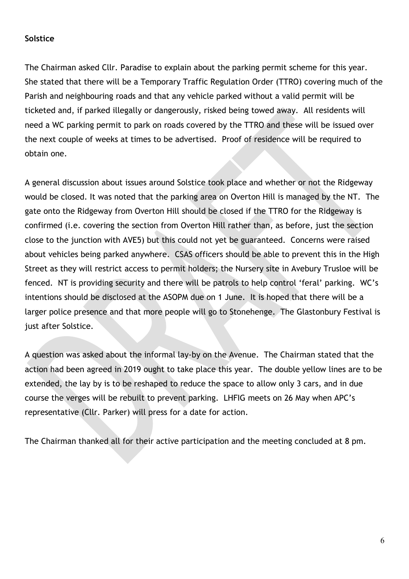### **Solstice**

The Chairman asked Cllr. Paradise to explain about the parking permit scheme for this year. She stated that there will be a Temporary Traffic Regulation Order (TTRO) covering much of the Parish and neighbouring roads and that any vehicle parked without a valid permit will be ticketed and, if parked illegally or dangerously, risked being towed away. All residents will need a WC parking permit to park on roads covered by the TTRO and these will be issued over the next couple of weeks at times to be advertised. Proof of residence will be required to obtain one.

A general discussion about issues around Solstice took place and whether or not the Ridgeway would be closed. It was noted that the parking area on Overton Hill is managed by the NT. The gate onto the Ridgeway from Overton Hill should be closed if the TTRO for the Ridgeway is confirmed (i.e. covering the section from Overton Hill rather than, as before, just the section close to the junction with AVE5) but this could not yet be guaranteed. Concerns were raised about vehicles being parked anywhere. CSAS officers should be able to prevent this in the High Street as they will restrict access to permit holders; the Nursery site in Avebury Trusloe will be fenced. NT is providing security and there will be patrols to help control 'feral' parking. WC's intentions should be disclosed at the ASOPM due on 1 June. It is hoped that there will be a larger police presence and that more people will go to Stonehenge. The Glastonbury Festival is just after Solstice.

A question was asked about the informal lay-by on the Avenue. The Chairman stated that the action had been agreed in 2019 ought to take place this year. The double yellow lines are to be extended, the lay by is to be reshaped to reduce the space to allow only 3 cars, and in due course the verges will be rebuilt to prevent parking. LHFIG meets on 26 May when APC's representative (Cllr. Parker) will press for a date for action.

The Chairman thanked all for their active participation and the meeting concluded at 8 pm.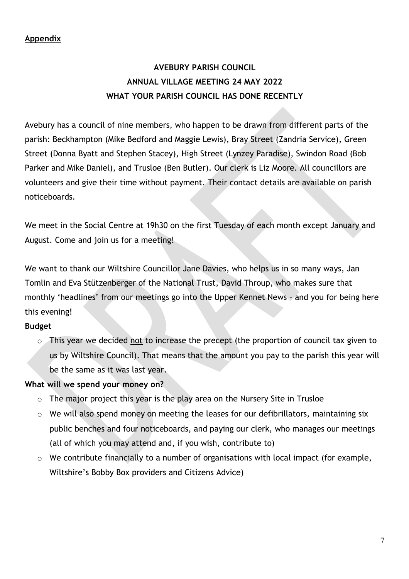### **Appendix**

# **AVEBURY PARISH COUNCIL ANNUAL VILLAGE MEETING 24 MAY 2022 WHAT YOUR PARISH COUNCIL HAS DONE RECENTLY**

Avebury has a council of nine members, who happen to be drawn from different parts of the parish: Beckhampton (Mike Bedford and Maggie Lewis), Bray Street (Zandria Service), Green Street (Donna Byatt and Stephen Stacey), High Street (Lynzey Paradise), Swindon Road (Bob Parker and Mike Daniel), and Trusloe (Ben Butler). Our clerk is Liz Moore. All councillors are volunteers and give their time without payment. Their contact details are available on parish noticeboards.

We meet in the Social Centre at 19h30 on the first Tuesday of each month except January and August. Come and join us for a meeting!

We want to thank our Wiltshire Councillor Jane Davies, who helps us in so many ways, Jan Tomlin and Eva Stützenberger of the National Trust, David Throup, who makes sure that monthly 'headlines' from our meetings go into the Upper Kennet News – and you for being here this evening!

### **Budget**

o This year we decided not to increase the precept (the proportion of council tax given to us by Wiltshire Council). That means that the amount you pay to the parish this year will be the same as it was last year.

### **What will we spend your money on?**

- $\circ$  The major project this year is the play area on the Nursery Site in Trusloe
- o We will also spend money on meeting the leases for our defibrillators, maintaining six public benches and four noticeboards, and paying our clerk, who manages our meetings (all of which you may attend and, if you wish, contribute to)
- o We contribute financially to a number of organisations with local impact (for example, Wiltshire's Bobby Box providers and Citizens Advice)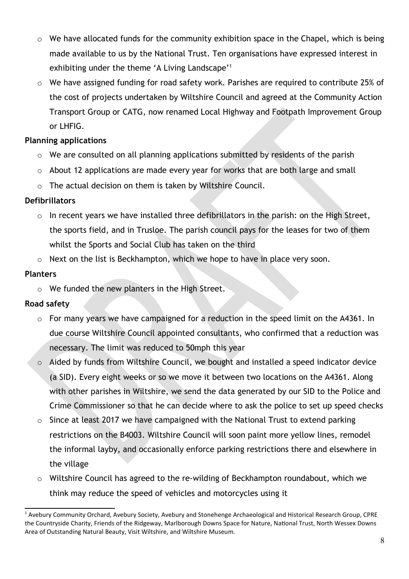- o We have allocated funds for the community exhibition space in the Chapel, which is being made available to us by the National Trust. Ten organisations have expressed interest in exhibiting under the theme 'A Living Landscape'<sup>1</sup>
- o We have assigned funding for road safety work. Parishes are required to contribute 25% of the cost of projects undertaken by Wiltshire Council and agreed at the Community Action Transport Group or CATG, now renamed Local Highway and Footpath Improvement Group or LHFIG.

## **Planning applications**

- o We are consulted on all planning applications submitted by residents of the parish
- o About 12 applications are made every year for works that are both large and small
- o The actual decision on them is taken by Wiltshire Council.

## **Defibrillators**

- o In recent years we have installed three defibrillators in the parish: on the High Street, the sports field, and in Trusloe. The parish council pays for the leases for two of them whilst the Sports and Social Club has taken on the third
- o Next on the list is Beckhampton, which we hope to have in place very soon.

## **Planters**

o We funded the new planters in the High Street.

## **Road safety**

- o For many years we have campaigned for a reduction in the speed limit on the A4361. In due course Wiltshire Council appointed consultants, who confirmed that a reduction was necessary. The limit was reduced to 50mph this year
- o Aided by funds from Wiltshire Council, we bought and installed a speed indicator device (a SID). Every eight weeks or so we move it between two locations on the A4361. Along with other parishes in Wiltshire, we send the data generated by our SID to the Police and Crime Commissioner so that he can decide where to ask the police to set up speed checks
- $\circ$  Since at least 2017 we have campaigned with the National Trust to extend parking restrictions on the B4003. Wiltshire Council will soon paint more yellow lines, remodel the informal layby, and occasionally enforce parking restrictions there and elsewhere in the village
- o Wiltshire Council has agreed to the re-wilding of Beckhampton roundabout, which we think may reduce the speed of vehicles and motorcycles using it

<sup>&</sup>lt;sup>1</sup> Avebury Community Orchard, Avebury Society, Avebury and Stonehenge Archaeological and Historical Research Group, CPRE the Countryside Charity, Friends of the Ridgeway, Marlborough Downs Space for Nature, National Trust, North Wessex Downs Area of Outstanding Natural Beauty, Visit Wiltshire, and Wiltshire Museum.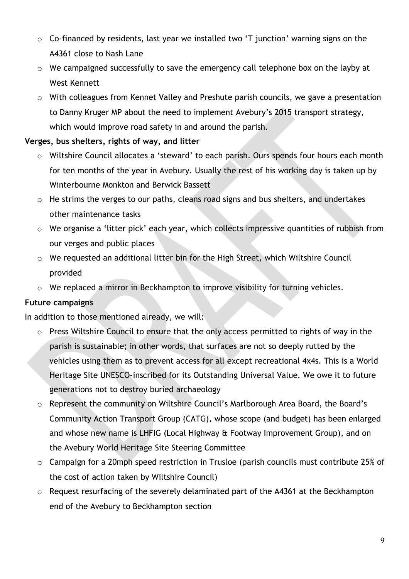- o Co-financed by residents, last year we installed two 'T junction' warning signs on the A4361 close to Nash Lane
- o We campaigned successfully to save the emergency call telephone box on the layby at West Kennett
- o With colleagues from Kennet Valley and Preshute parish councils, we gave a presentation to Danny Kruger MP about the need to implement Avebury's 2015 transport strategy, which would improve road safety in and around the parish.

## **Verges, bus shelters, rights of way, and litter**

- o Wiltshire Council allocates a 'steward' to each parish. Ours spends four hours each month for ten months of the year in Avebury. Usually the rest of his working day is taken up by Winterbourne Monkton and Berwick Bassett
- o He strims the verges to our paths, cleans road signs and bus shelters, and undertakes other maintenance tasks
- o We organise a 'litter pick' each year, which collects impressive quantities of rubbish from our verges and public places
- o We requested an additional litter bin for the High Street, which Wiltshire Council provided
- o We replaced a mirror in Beckhampton to improve visibility for turning vehicles.

### **Future campaigns**

In addition to those mentioned already, we will:

- o Press Wiltshire Council to ensure that the only access permitted to rights of way in the parish is sustainable; in other words, that surfaces are not so deeply rutted by the vehicles using them as to prevent access for all except recreational 4x4s. This is a World Heritage Site UNESCO-inscribed for its Outstanding Universal Value. We owe it to future generations not to destroy buried archaeology
- o Represent the community on Wiltshire Council's Marlborough Area Board, the Board's Community Action Transport Group (CATG), whose scope (and budget) has been enlarged and whose new name is LHFIG (Local Highway & Footway Improvement Group), and on the Avebury World Heritage Site Steering Committee
- o Campaign for a 20mph speed restriction in Trusloe (parish councils must contribute 25% of the cost of action taken by Wiltshire Council)
- o Request resurfacing of the severely delaminated part of the A4361 at the Beckhampton end of the Avebury to Beckhampton section